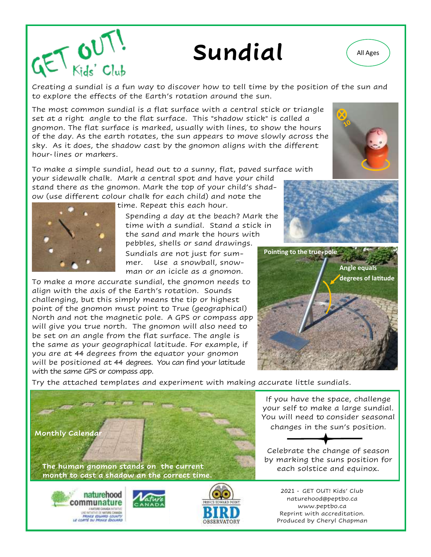## Sundial (All Ages

 $\mathbb{C}$  Club<br>Creating a sundial is a fun way to discover how to tell time by the position of the sun and to explore the effects of the Earth's rotation around the sun.

The most common sundial is a flat surface with a central stick or triangle set at a right angle to the flat surface. This "shadow stick" is called a gnomon. The flat surface is marked, usually with lines, to show the hours of the day. As the earth rotates, the sun appears to move slowly across the sky. As it does, the shadow cast by the gnomon aligns with the different hour-lines or markers.

To make a simple sundial, head out to a sunny, flat, paved surface with your sidewalk chalk. Mark a central spot and have your child stand there as the gnomon. Mark the top of your child's shadow (use different colour chalk for each child) and note the

time. Repeat this each hour.

Spending a day at the beach? Mark the time with a sundial. Stand a stick in the sand and mark the hours with pebbles, shells or sand drawings.

Sundials are not just for summer. Use a snowball, snowman or an icicle as a gnomon.

To make a more accurate sundial, the gnomon needs to align with the axis of the Earth's rotation. Sounds challenging, but this simply means the tip or highest point of the gnomon must point to True (geographical) North and not the magnetic pole. A GPS or compass app will give you true north. The gnomon will also need to be set on an angle from the flat surface. The angle is the same as your geographical latitude. For example, if you are at 44 degrees from the equator your gnomon will be positioned at 44 degrees. You can find your latitude with the same GPS or compass app.

Try the attached templates and experiment with making accurate little sundials.

**Monthly Calendar** 

The human gnomon stands on the current **The manufacture of the solstice and equinox**. **month to cast a shadow an the correct time.**







2021 - GET OUT! Kids' Club naturehood@peptbo.ca www.peptbo.ca Reprint with accreditation. Produced by Cheryl Chapman







If you have the space, challenge your self to make a large sundial. You will need to consider seasonal changes in the sun's position.

Celebrate the change of season by marking the suns position for

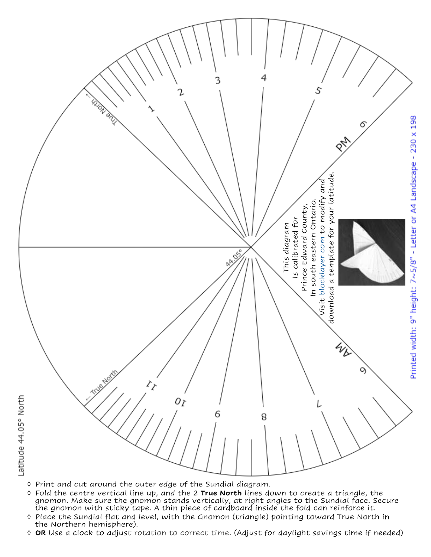

- $\Diamond$  Print and cut around the outer edge of the Sundial diagram.
- Fold the centre vertical line up, and the 2 **True North** lines down to create a triangle, the gnomon. Make sure the gnomon stands vertically, at right angles to the Sundial face. Secure the gnomon with sticky tape. A thin piece of cardboard inside the fold can reinforce it.
- ↑ Place the Sundial flat and level, with the Gnomon (triangle) pointing toward True North in the Northern hemisphere).
- **OR** Use a clock to adjust rotation to correct time. (Adjust for daylight savings time if needed)